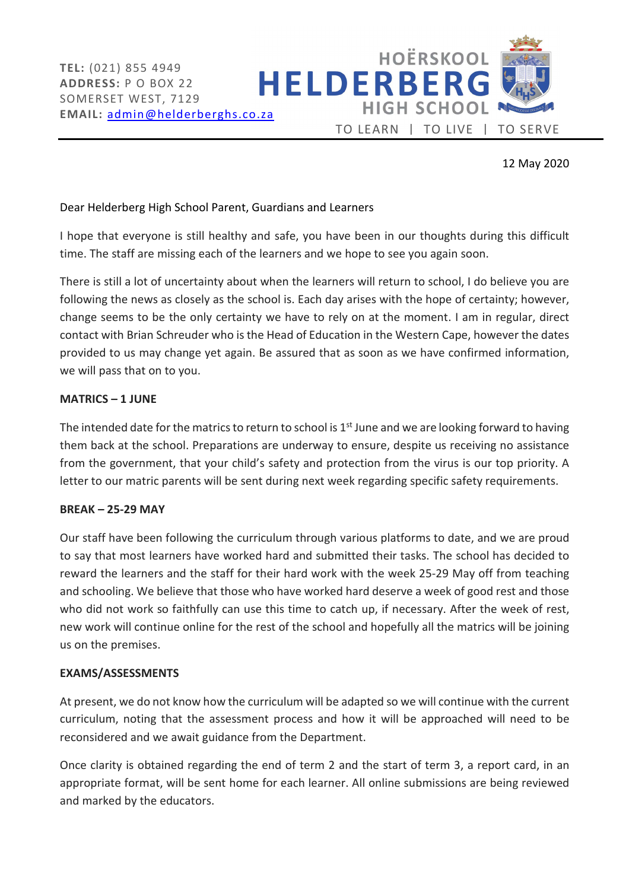

# 12 May 2020

## Dear Helderberg High School Parent, Guardians and Learners

I hope that everyone is still healthy and safe, you have been in our thoughts during this difficult time. The staff are missing each of the learners and we hope to see you again soon.

There is still a lot of uncertainty about when the learners will return to school, I do believe you are following the news as closely as the school is. Each day arises with the hope of certainty; however, change seems to be the only certainty we have to rely on at the moment. I am in regular, direct contact with Brian Schreuder who is the Head of Education in the Western Cape, however the dates provided to us may change yet again. Be assured that as soon as we have confirmed information, we will pass that on to you.

## MATRICS – 1 JUNE

The intended date for the matrics to return to school is  $1<sup>st</sup>$  June and we are looking forward to having them back at the school. Preparations are underway to ensure, despite us receiving no assistance from the government, that your child's safety and protection from the virus is our top priority. A letter to our matric parents will be sent during next week regarding specific safety requirements.

#### BREAK – 25-29 MAY

Our staff have been following the curriculum through various platforms to date, and we are proud to say that most learners have worked hard and submitted their tasks. The school has decided to reward the learners and the staff for their hard work with the week 25-29 May off from teaching and schooling. We believe that those who have worked hard deserve a week of good rest and those who did not work so faithfully can use this time to catch up, if necessary. After the week of rest, new work will continue online for the rest of the school and hopefully all the matrics will be joining us on the premises.

#### EXAMS/ASSESSMENTS

At present, we do not know how the curriculum will be adapted so we will continue with the current curriculum, noting that the assessment process and how it will be approached will need to be reconsidered and we await guidance from the Department.

Once clarity is obtained regarding the end of term 2 and the start of term 3, a report card, in an appropriate format, will be sent home for each learner. All online submissions are being reviewed and marked by the educators.